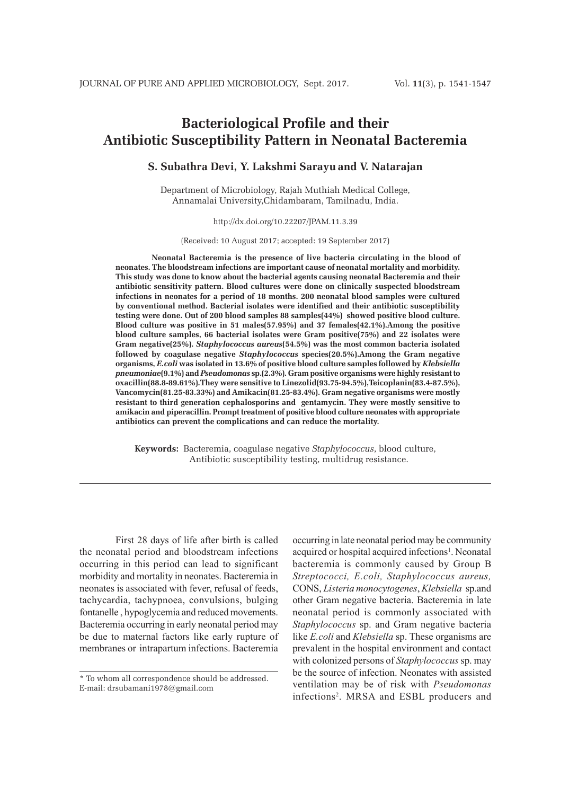# **Bacteriological Profile and their Antibiotic Susceptibility Pattern in Neonatal Bacteremia**

# **S. Subathra Devi, Y. Lakshmi Sarayu and V. Natarajan**

Department of Microbiology, Rajah Muthiah Medical College, Annamalai University,Chidambaram, Tamilnadu, India.

### http://dx.doi.org/10.22207/JPAM.11.3.39

(Received: 10 August 2017; accepted: 19 September 2017)

**Neonatal Bacteremia is the presence of live bacteria circulating in the blood of neonates. The bloodstream infections are important cause of neonatal mortality and morbidity. This study was done to know about the bacterial agents causing neonatal Bacteremia and their antibiotic sensitivity pattern. Blood cultures were done on clinically suspected bloodstream infections in neonates for a period of 18 months. 200 neonatal blood samples were cultured by conventional method. Bacterial isolates were identified and their antibiotic susceptibility testing were done. Out of 200 blood samples 88 samples(44%) showed positive blood culture. Blood culture was positive in 51 males(57.95%) and 37 females(42.1%).Among the positive blood culture samples, 66 bacterial isolates were Gram positive(75%) and 22 isolates were Gram negative(25%).** *Staphylococcus aureus***(54.5%) was the most common bacteria isolated followed by coagulase negative** *Staphylococcus* **species(20.5%).Among the Gram negative organisms,** *E.coli* **was isolated in 13.6% of positive blood culture samples followed by** *Klebsiella pneumoniae***(9.1%) and** *Pseudomonas* **sp.(2.3%). Gram positive organisms were highly resistant to oxacillin(88.8-89.61%).They were sensitive to Linezolid(93.75-94.5%),Teicoplanin(83.4-87.5%), Vancomycin(81.25-83.33%) and Amikacin(81.25-83.4%). Gram negative organisms were mostly resistant to third generation cephalosporins and gentamycin. They were mostly sensitive to amikacin and piperacillin. Prompt treatment of positive blood culture neonates with appropriate antibiotics can prevent the complications and can reduce the mortality.**

**Keywords:** Bacteremia, coagulase negative *Staphylococcus*, blood culture, Antibiotic susceptibility testing, multidrug resistance.

First 28 days of life after birth is called the neonatal period and bloodstream infections occurring in this period can lead to significant morbidity and mortality in neonates. Bacteremia in neonates is associated with fever, refusal of feeds, tachycardia, tachypnoea, convulsions, bulging fontanelle , hypoglycemia and reduced movements. Bacteremia occurring in early neonatal period may be due to maternal factors like early rupture of membranes or intrapartum infections. Bacteremia

occurring in late neonatal period may be community acquired or hospital acquired infections<sup>1</sup>. Neonatal bacteremia is commonly caused by Group B *Streptococci, E.coli, Staphylococcus aureus,*  CONS, *Listeria monocytogenes*, *Klebsiella* sp.and other Gram negative bacteria. Bacteremia in late neonatal period is commonly associated with *Staphylococcus* sp. and Gram negative bacteria like *E.coli* and *Klebsiella* sp. These organisms are prevalent in the hospital environment and contact with colonized persons of *Staphylococcus* sp. may be the source of infection. Neonates with assisted ventilation may be of risk with *Pseudomonas*  infections2 . MRSA and ESBL producers and

<sup>\*</sup> To whom all correspondence should be addressed. E-mail: drsubamani1978@gmail.com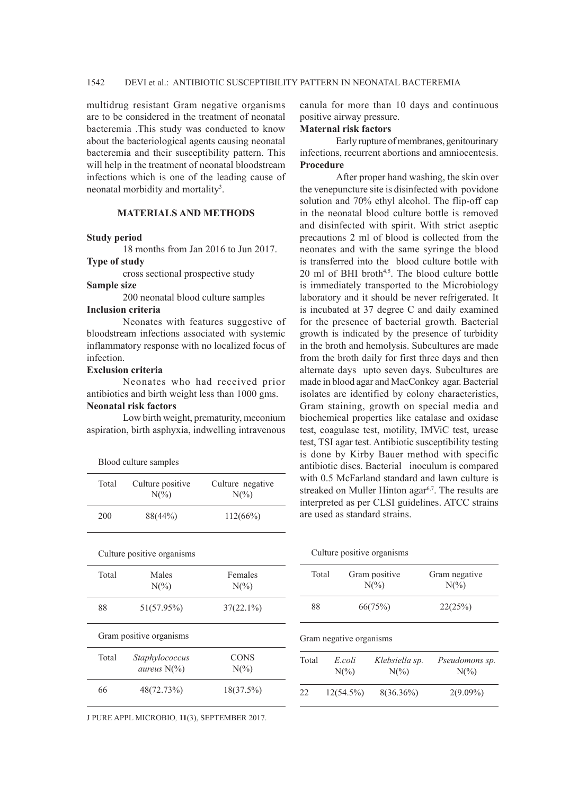multidrug resistant Gram negative organisms are to be considered in the treatment of neonatal bacteremia .This study was conducted to know about the bacteriological agents causing neonatal bacteremia and their susceptibility pattern. This will help in the treatment of neonatal bloodstream infections which is one of the leading cause of neonatal morbidity and mortality<sup>3</sup>.

## **MATERIALS AND METHODS**

## **Study period**

18 months from Jan 2016 to Jun 2017.

**Type of study**

cross sectional prospective study

# **Sample size**

200 neonatal blood culture samples

# **Inclusion criteria**

Neonates with features suggestive of bloodstream infections associated with systemic inflammatory response with no localized focus of infection.

# **Exclusion criteria**

Neonates who had received prior antibiotics and birth weight less than 1000 gms. **Neonatal risk factors**

Low birth weight, prematurity, meconium aspiration, birth asphyxia, indwelling intravenous

|       | Blood culture samples                   |                                     |
|-------|-----------------------------------------|-------------------------------------|
| Total | Culture positive<br>$N(\%)$             | Culture negative<br>$N\binom{0}{0}$ |
| 200   | 88(44%)                                 | 112(66%)                            |
|       | Culture positive organisms              |                                     |
| Total | Males<br>$N\binom{0}{0}$                | Females<br>$N\frac{\omega}{\omega}$ |
| 88    | 51(57.95%)                              | $37(22.1\%)$                        |
|       | Gram positive organisms                 |                                     |
| Total | Staphylococcus<br><i>aureus</i> $N(\%)$ | <b>CONS</b><br>$N\binom{0}{0}$      |
| 66    | 48(72.73%)                              | 18(37.5%)                           |
|       |                                         |                                     |

J PURE APPL MICROBIO*,* **11**(3), SEPTEMBER 2017.

canula for more than 10 days and continuous positive airway pressure.

#### **Maternal risk factors**

Early rupture of membranes, genitourinary infections, recurrent abortions and amniocentesis. **Procedure**

After proper hand washing, the skin over the venepuncture site is disinfected with povidone solution and 70% ethyl alcohol. The flip-off cap in the neonatal blood culture bottle is removed and disinfected with spirit. With strict aseptic precautions 2 ml of blood is collected from the neonates and with the same syringe the blood is transferred into the blood culture bottle with  $20$  ml of BHI broth<sup> $4,5$ </sup>. The blood culture bottle is immediately transported to the Microbiology laboratory and it should be never refrigerated. It is incubated at 37 degree C and daily examined for the presence of bacterial growth. Bacterial growth is indicated by the presence of turbidity in the broth and hemolysis. Subcultures are made from the broth daily for first three days and then alternate days upto seven days. Subcultures are made in blood agar and MacConkey agar. Bacterial isolates are identified by colony characteristics, Gram staining, growth on special media and biochemical properties like catalase and oxidase test, coagulase test, motility, IMViC test, urease test, TSI agar test. Antibiotic susceptibility testing is done by Kirby Bauer method with specific antibiotic discs. Bacterial inoculum is compared with 0.5 McFarland standard and lawn culture is streaked on Muller Hinton agar<sup>6,7</sup>. The results are interpreted as per CLSI guidelines. ATCC strains are used as standard strains.

|       | Culture positive organisms       |                                   |                           |
|-------|----------------------------------|-----------------------------------|---------------------------|
| Total | Gram positive<br>$N\binom{0}{0}$ |                                   | Gram negative<br>$N(\%)$  |
| 88    |                                  | 66(75%)                           | 22(25%)                   |
|       | Gram negative organisms          |                                   |                           |
| Total | E coli<br>$N\binom{0}{0}$        | Klebsiella sp.<br>$N\binom{0}{0}$ | Pseudomons sp.<br>$N(\%)$ |
| 22    | $12(54.5\%)$                     | $8(36.36\%)$                      | $2(9.09\%)$               |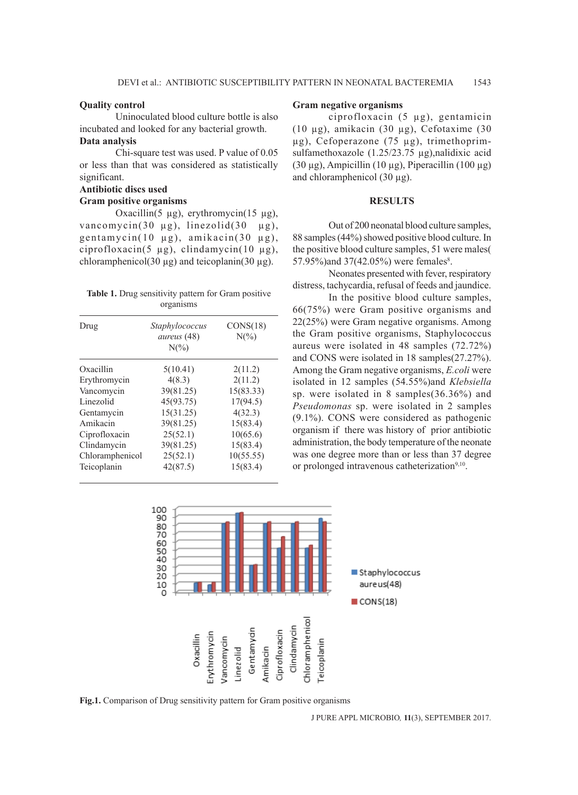## **Quality control**

Uninoculated blood culture bottle is also incubated and looked for any bacterial growth. **Data analysis**

Chi-square test was used. P value of 0.05 or less than that was considered as statistically significant.

## **Antibiotic discs used**

### **Gram positive organisms**

Oxacillin(5  $\mu$ g), erythromycin(15  $\mu$ g), vancomycin(30  $\mu$ g), linezolid(30  $\mu$ g), gentamycin(10 µg), amikacin(30 µg), ciprofloxacin(5 µg), clindamycin(10 µg), chloramphenicol(30  $\mu$ g) and teicoplanin(30  $\mu$ g).

| <b>Table 1.</b> Drug sensitivity pattern for Gram positive |           |  |  |
|------------------------------------------------------------|-----------|--|--|
|                                                            | organisms |  |  |

| Drug            | Staphylococcus<br>aureus (48)<br>$N\binom{0}{0}$ | CONS(18)<br>$N\binom{0}{0}$ |  |  |
|-----------------|--------------------------------------------------|-----------------------------|--|--|
| Oxacillin       | 5(10.41)                                         | 2(11.2)                     |  |  |
| Erythromycin    | 4(8.3)                                           | 2(11.2)                     |  |  |
| Vancomycin      | 39(81.25)                                        | 15(83.33)                   |  |  |
| Linezolid       | 45(93.75)                                        | 17(94.5)                    |  |  |
| Gentamycin      | 15(31.25)                                        | 4(32.3)                     |  |  |
| Amikacin        | 39(81.25)                                        | 15(83.4)                    |  |  |
| Ciprofloxacin   | 25(52.1)                                         | 10(65.6)                    |  |  |
| Clindamycin     | 39(81.25)                                        | 15(83.4)                    |  |  |
| Chloramphenicol | 25(52.1)                                         | 10(55.55)                   |  |  |
| Teicoplanin     | 42(87.5)                                         | 15(83.4)                    |  |  |

## **Gram negative organisms**

ciprofloxacin (5 µg), gentamicin (10 µg), amikacin (30 µg), Cefotaxime (30 µg), Cefoperazone (75 µg), trimethoprimsulfamethoxazole (1.25/23.75 µg),nalidixic acid (30 µg), Ampicillin (10 µg), Piperacillin (100 µg) and chloramphenicol (30 µg).

## **RESULTS**

Out of 200 neonatal blood culture samples, 88 samples (44%) showed positive blood culture. In the positive blood culture samples, 51 were males( 57.95%) and 37(42.05%) were females<sup>8</sup>.

Neonates presented with fever, respiratory distress, tachycardia, refusal of feeds and jaundice.

In the positive blood culture samples, 66(75%) were Gram positive organisms and 22(25%) were Gram negative organisms. Among the Gram positive organisms, Staphylococcus aureus were isolated in 48 samples (72.72%) and CONS were isolated in 18 samples(27.27%). Among the Gram negative organisms, *E.coli* were isolated in 12 samples (54.55%)and *Klebsiella*  sp. were isolated in 8 samples(36.36%) and *Pseudomonas* sp. were isolated in 2 samples (9.1%). CONS were considered as pathogenic organism if there was history of prior antibiotic administration, the body temperature of the neonate was one degree more than or less than 37 degree or prolonged intravenous catheterization<sup>9,10</sup>.



**Fig.1.** Comparison of Drug sensitivity pattern for Gram positive organisms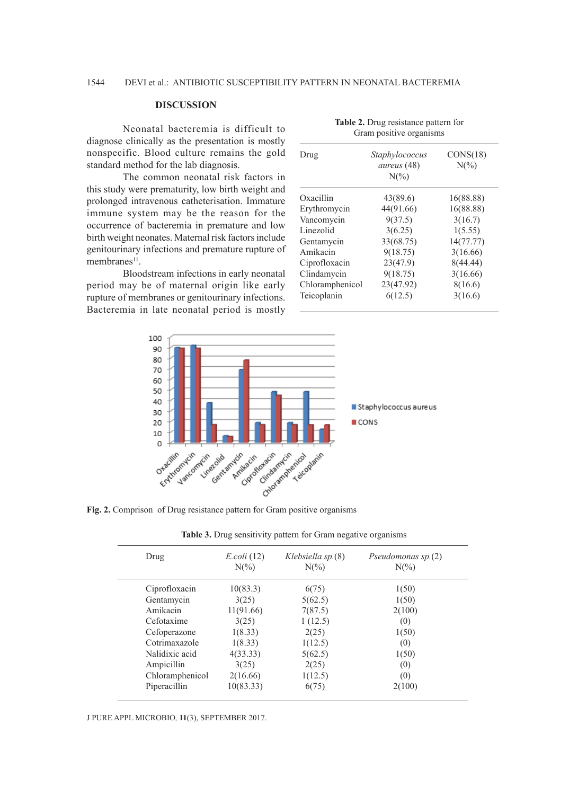# **DISCUSSION**

Neonatal bacteremia is difficult to diagnose clinically as the presentation is mostly nonspecific. Blood culture remains the gold standard method for the lab diagnosis.

The common neonatal risk factors in this study were prematurity, low birth weight and prolonged intravenous catheterisation. Immature immune system may be the reason for the occurrence of bacteremia in premature and low birth weight neonates. Maternal risk factors include genitourinary infections and premature rupture of membranes<sup>11</sup>.

Bloodstream infections in early neonatal period may be of maternal origin like early rupture of membranes or genitourinary infections. Bacteremia in late neonatal period is mostly

| Drug            | Staphylococcus<br><i>aureus</i> (48)<br>$N(\%)$ | CONS(18)<br>$N\binom{0}{0}$ |  |
|-----------------|-------------------------------------------------|-----------------------------|--|
| Oxacillin       | 43(89.6)                                        | 16(88.88)                   |  |
| Erythromycin    | 44(91.66)                                       | 16(88.88)                   |  |
| Vancomycin      | 9(37.5)                                         | 3(16.7)                     |  |
| Linezolid       | 3(6.25)                                         | 1(5.55)                     |  |
| Gentamycin      | 33(68.75)                                       | 14(77.77)                   |  |
| Amikacin        | 9(18.75)                                        | 3(16.66)                    |  |
| Ciprofloxacin   | 23(47.9)                                        | 8(44.44)                    |  |
| Clindamycin     | 9(18.75)                                        | 3(16.66)                    |  |
| Chloramphenicol | 23(47.92)                                       | 8(16.6)                     |  |
| Teicoplanin     | 6(12.5)                                         | 3(16.6)                     |  |

**Table 2.** Drug resistance pattern for Gram positive organisms



Fig. 2. Comprison of Drug resistance pattern for Gram positive organisms

|  | Table 3. Drug sensitivity pattern for Gram negative organisms |  |  |  |
|--|---------------------------------------------------------------|--|--|--|
|  |                                                               |  |  |  |
|  |                                                               |  |  |  |
|  |                                                               |  |  |  |

| Drug            | $E. coli$ (12)<br>$N(\%)$ | Klebsiella $sp(8)$<br>$N\binom{0}{0}$ | Pseudomonas $sp(2)$<br>$N(\%)$ |
|-----------------|---------------------------|---------------------------------------|--------------------------------|
| Ciprofloxacin   | 10(83.3)                  | 6(75)                                 | 1(50)                          |
| Gentamycin      | 3(25)                     | 5(62.5)                               | 1(50)                          |
| Amikacin        | 11(91.66)                 | 7(87.5)                               | 2(100)                         |
| Cefotaxime      | 3(25)                     | 1(12.5)                               | (0)                            |
| Cefoperazone    | 1(8.33)                   | 2(25)                                 | 1(50)                          |
| Cotrimaxazole   | 1(8.33)                   | 1(12.5)                               | (0)                            |
| Nalidixic acid  | 4(33.33)                  | 5(62.5)                               | 1(50)                          |
| Ampicillin      | 3(25)                     | 2(25)                                 | (0)                            |
| Chloramphenicol | 2(16.66)                  | 1(12.5)                               | (0)                            |
| Piperacillin    | 10(83.33)                 | 6(75)                                 | 2(100)                         |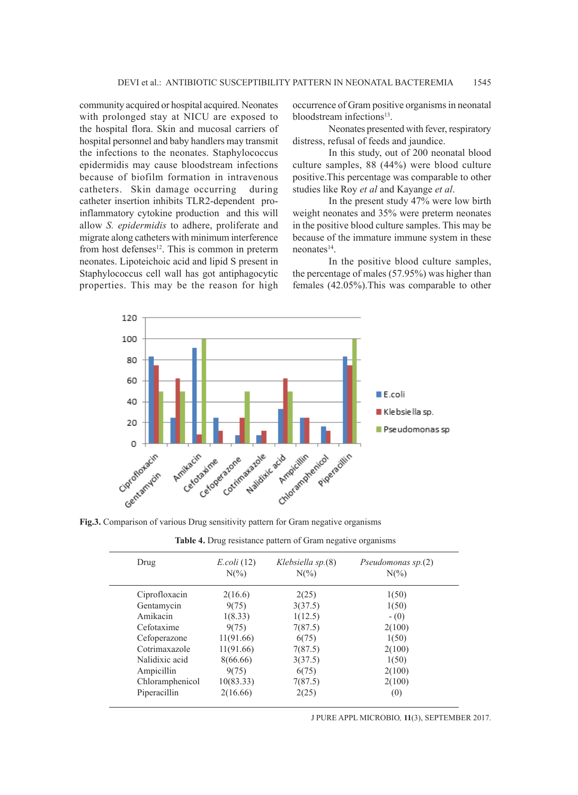community acquired or hospital acquired. Neonates with prolonged stay at NICU are exposed to the hospital flora. Skin and mucosal carriers of hospital personnel and baby handlers may transmit the infections to the neonates. Staphylococcus epidermidis may cause bloodstream infections because of biofilm formation in intravenous catheters. Skin damage occurring during catheter insertion inhibits TLR2-dependent proinflammatory cytokine production and this will allow *S. epidermidis* to adhere, proliferate and migrate along catheters with minimum interference from host defenses<sup>12</sup>. This is common in preterm neonates. Lipoteichoic acid and lipid S present in Staphylococcus cell wall has got antiphagocytic properties. This may be the reason for high occurrence of Gram positive organisms in neonatal bloodstream infections<sup>13</sup>.

Neonates presented with fever, respiratory distress, refusal of feeds and jaundice.

In this study, out of 200 neonatal blood culture samples, 88 (44%) were blood culture positive.This percentage was comparable to other studies like Roy *et al* and Kayange *et al*.

In the present study 47% were low birth weight neonates and 35% were preterm neonates in the positive blood culture samples. This may be because of the immature immune system in these neonates14.

In the positive blood culture samples, the percentage of males (57.95%) was higher than females (42.05%).This was comparable to other



**Fig.3.** Comparison of various Drug sensitivity pattern for Gram negative organisms

| Drug            | $E. coli$ (12)<br>$N\binom{0}{0}$ | Klebsiella sp.(8)<br>$N\binom{0}{0}$ | Pseudomonas sp.(2)<br>$N\binom{0}{0}$ |
|-----------------|-----------------------------------|--------------------------------------|---------------------------------------|
| Ciprofloxacin   | 2(16.6)                           | 2(25)                                | 1(50)                                 |
| Gentamycin      | 9(75)                             | 3(37.5)                              | 1(50)                                 |
| Amikacin        | 1(8.33)                           | 1(12.5)                              | $-(0)$                                |
| Cefotaxime      | 9(75)                             | 7(87.5)                              | 2(100)                                |
| Cefoperazone    | 11(91.66)                         | 6(75)                                | 1(50)                                 |
| Cotrimaxazole   | 11(91.66)                         | 7(87.5)                              | 2(100)                                |
| Nalidixic acid  | 8(66.66)                          | 3(37.5)                              | 1(50)                                 |
| Ampicillin      | 9(75)                             | 6(75)                                | 2(100)                                |
| Chloramphenicol | 10(83.33)                         | 7(87.5)                              | 2(100)                                |
| Piperacillin    | 2(16.66)                          | 2(25)                                | (0)                                   |

**Table 4.** Drug resistance pattern of Gram negative organisms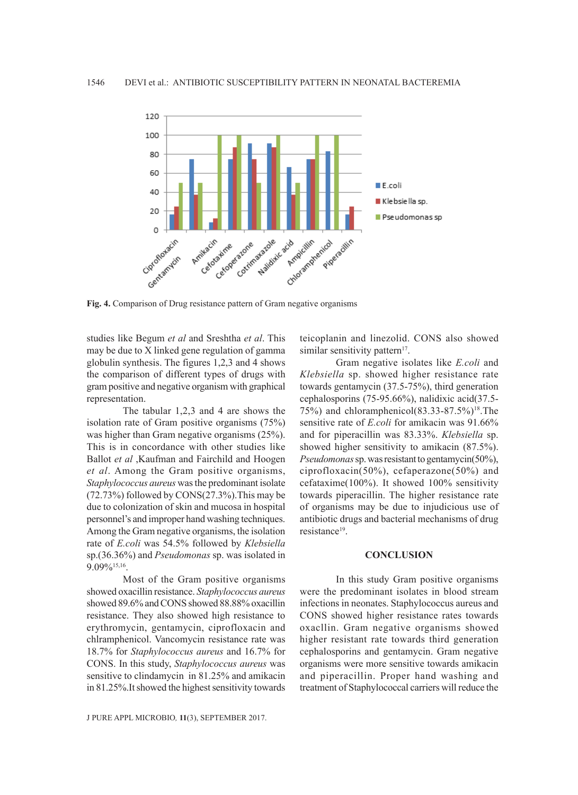

**Fig. 4.** Comparison of Drug resistance pattern of Gram negative organisms

studies like Begum *et al* and Sreshtha *et al*. This may be due to X linked gene regulation of gamma globulin synthesis. The figures 1,2,3 and 4 shows the comparison of different types of drugs with gram positive and negative organism with graphical representation.

The tabular 1,2,3 and 4 are shows the isolation rate of Gram positive organisms (75%) was higher than Gram negative organisms (25%). This is in concordance with other studies like Ballot *et al* ,Kaufman and Fairchild and Hoogen *et al*. Among the Gram positive organisms, *Staphylococcus aureus* was the predominant isolate (72.73%) followed by CONS(27.3%).This may be due to colonization of skin and mucosa in hospital personnel's and improper hand washing techniques. Among the Gram negative organisms, the isolation rate of *E.coli* was 54.5% followed by *Klebsiella*  sp.(36.36%) and *Pseudomonas* sp. was isolated in 9.09%15,16.

Most of the Gram positive organisms showed oxacillin resistance. *Staphylococcus aureus*  showed 89.6% and CONS showed 88.88% oxacillin resistance. They also showed high resistance to erythromycin, gentamycin, ciprofloxacin and chlramphenicol. Vancomycin resistance rate was 18.7% for *Staphylococcus aureus* and 16.7% for CONS. In this study, *Staphylococcus aureus* was sensitive to clindamycin in 81.25% and amikacin in 81.25%.It showed the highest sensitivity towards

J PURE APPL MICROBIO*,* **11**(3), SEPTEMBER 2017.

teicoplanin and linezolid. CONS also showed similar sensitivity pattern<sup>17</sup>.

Gram negative isolates like *E.coli* and *Klebsiella* sp. showed higher resistance rate towards gentamycin (37.5-75%), third generation cephalosporins (75-95.66%), nalidixic acid(37.5- 75%) and chloramphenicol(83.33-87.5%)18.The sensitive rate of *E.coli* for amikacin was 91.66% and for piperacillin was 83.33%. *Klebsiella* sp. showed higher sensitivity to amikacin (87.5%). *Pseudomonas* sp. was resistant to gentamycin(50%), ciprofloxacin(50%), cefaperazone(50%) and cefataxime(100%). It showed 100% sensitivity towards piperacillin. The higher resistance rate of organisms may be due to injudicious use of antibiotic drugs and bacterial mechanisms of drug resistance<sup>19</sup>.

#### **CONCLUSION**

In this study Gram positive organisms were the predominant isolates in blood stream infections in neonates. Staphylococcus aureus and CONS showed higher resistance rates towards oxacllin. Gram negative organisms showed higher resistant rate towards third generation cephalosporins and gentamycin. Gram negative organisms were more sensitive towards amikacin and piperacillin. Proper hand washing and treatment of Staphylococcal carriers will reduce the